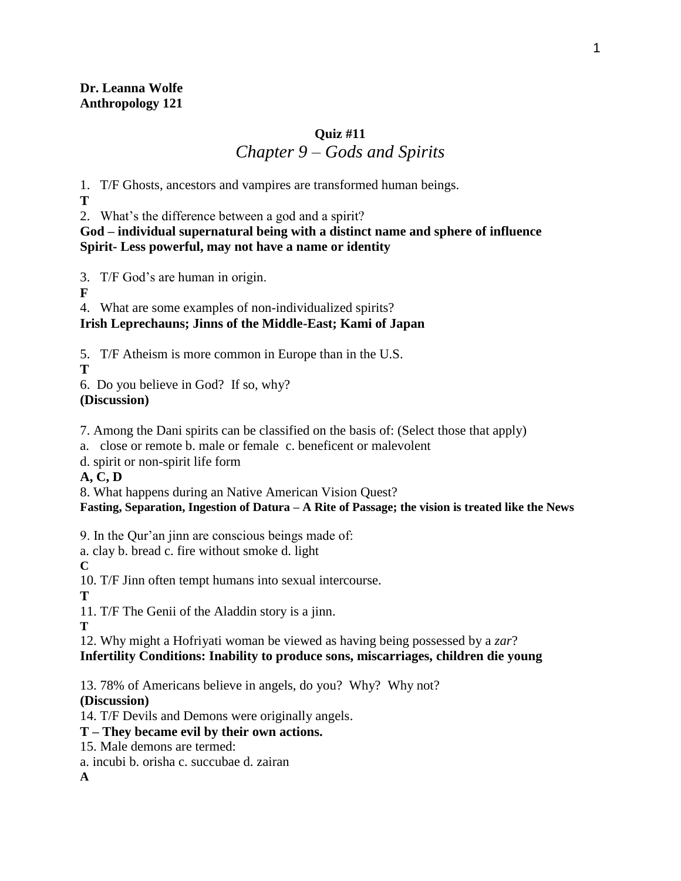## **Quiz #11** *Chapter 9 – Gods and Spirits*

1. T/F Ghosts, ancestors and vampires are transformed human beings.

**T**

2. What's the difference between a god and a spirit?

### **God – individual supernatural being with a distinct name and sphere of influence Spirit- Less powerful, may not have a name or identity**

3. T/F God's are human in origin.

**F**

4. What are some examples of non-individualized spirits?

# **Irish Leprechauns; Jinns of the Middle-East; Kami of Japan**

5. T/F Atheism is more common in Europe than in the U.S.

**T**

6. Do you believe in God? If so, why?

## **(Discussion)**

7. Among the Dani spirits can be classified on the basis of: (Select those that apply)

a. close or remote b. male or female c. beneficent or malevolent

d. spirit or non-spirit life form

**A, C, D**

8. What happens during an Native American Vision Quest?

## **Fasting, Separation, Ingestion of Datura – A Rite of Passage; the vision is treated like the News**

9. In the Qur'an jinn are conscious beings made of:

a. clay b. bread c. fire without smoke d. light

**C**

10. T/F Jinn often tempt humans into sexual intercourse.

**T**

11. T/F The Genii of the Aladdin story is a jinn.

**T**

12. Why might a Hofriyati woman be viewed as having being possessed by a *zar*? **Infertility Conditions: Inability to produce sons, miscarriages, children die young**

13. 78% of Americans believe in angels, do you? Why? Why not?

## **(Discussion)**

14. T/F Devils and Demons were originally angels.

- **T – They became evil by their own actions.**
- 15. Male demons are termed:
- a. incubi b. orisha c. succubae d. zairan

**A**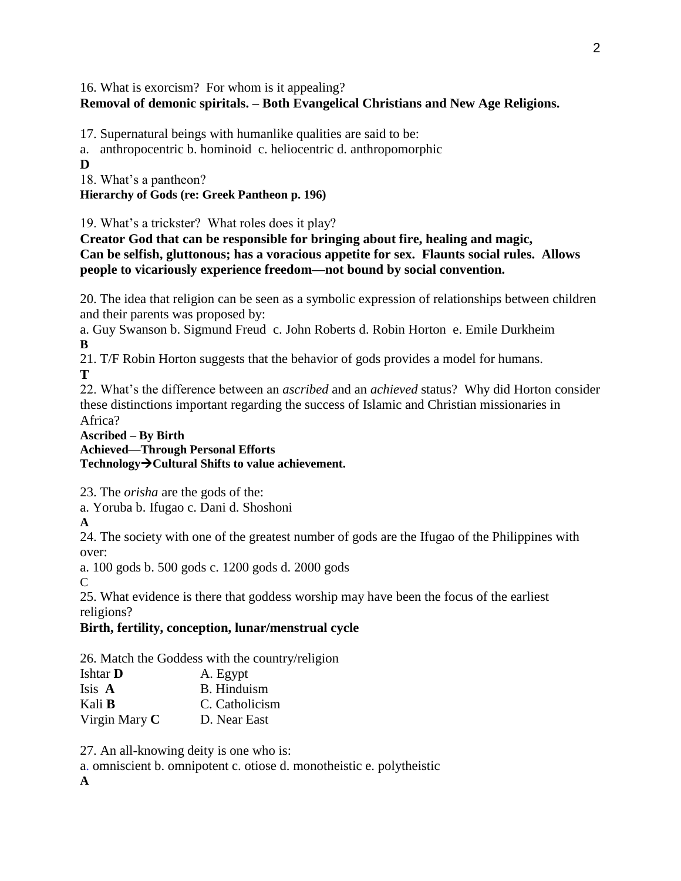#### 16. What is exorcism? For whom is it appealing? **Removal of demonic spiritals. – Both Evangelical Christians and New Age Religions.**

17. Supernatural beings with humanlike qualities are said to be:

a. anthropocentric b. hominoid c. heliocentric d. anthropomorphic **D**

18. What's a pantheon?

**Hierarchy of Gods (re: Greek Pantheon p. 196)**

19. What's a trickster? What roles does it play?

**Creator God that can be responsible for bringing about fire, healing and magic, Can be selfish, gluttonous; has a voracious appetite for sex. Flaunts social rules. Allows people to vicariously experience freedom—not bound by social convention.**

20. The idea that religion can be seen as a symbolic expression of relationships between children and their parents was proposed by:

a. Guy Swanson b. Sigmund Freud c. John Roberts d. Robin Horton e. Emile Durkheim **B**

21. T/F Robin Horton suggests that the behavior of gods provides a model for humans. **T**

22. What's the difference between an *ascribed* and an *achieved* status? Why did Horton consider these distinctions important regarding the success of Islamic and Christian missionaries in Africa?

**Ascribed – By Birth Achieved—Through Personal Efforts** Technology  $\rightarrow$  Cultural Shifts to value achievement.

23. The *orisha* are the gods of the:

a. Yoruba b. Ifugao c. Dani d. Shoshoni

**A**

24. The society with one of the greatest number of gods are the Ifugao of the Philippines with over:

a. 100 gods b. 500 gods c. 1200 gods d. 2000 gods

C

25. What evidence is there that goddess worship may have been the focus of the earliest religions?

### **Birth, fertility, conception, lunar/menstrual cycle**

26. Match the Goddess with the country/religion

| Ishtar <b>D</b> | A. Egypt           |
|-----------------|--------------------|
| Isis A          | <b>B.</b> Hinduism |
| Kali <b>B</b>   | C. Catholicism     |
| Virgin Mary $C$ | D. Near East       |

27. An all-knowing deity is one who is:

a. omniscient b. omnipotent c. otiose d. monotheistic e. polytheistic

**A**